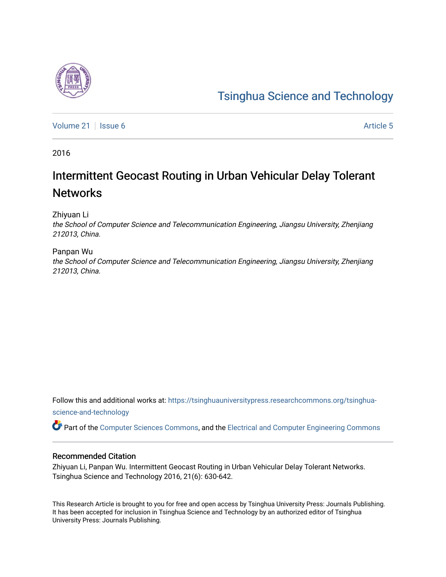# [Tsinghua Science and Technology](https://tsinghuauniversitypress.researchcommons.org/tsinghua-science-and-technology)

[Volume 21](https://tsinghuauniversitypress.researchcommons.org/tsinghua-science-and-technology/vol21) | [Issue 6](https://tsinghuauniversitypress.researchcommons.org/tsinghua-science-and-technology/vol21/iss6) Article 5

2016

# Intermittent Geocast Routing in Urban Vehicular Delay Tolerant **Networks**

Zhiyuan Li

the School of Computer Science and Telecommunication Engineering, Jiangsu University, Zhenjiang 212013, China.

#### Panpan Wu

the School of Computer Science and Telecommunication Engineering, Jiangsu University, Zhenjiang 212013, China.

Follow this and additional works at: [https://tsinghuauniversitypress.researchcommons.org/tsinghua](https://tsinghuauniversitypress.researchcommons.org/tsinghua-science-and-technology?utm_source=tsinghuauniversitypress.researchcommons.org%2Ftsinghua-science-and-technology%2Fvol21%2Fiss6%2F5&utm_medium=PDF&utm_campaign=PDFCoverPages)[science-and-technology](https://tsinghuauniversitypress.researchcommons.org/tsinghua-science-and-technology?utm_source=tsinghuauniversitypress.researchcommons.org%2Ftsinghua-science-and-technology%2Fvol21%2Fiss6%2F5&utm_medium=PDF&utm_campaign=PDFCoverPages)

Part of the [Computer Sciences Commons](http://network.bepress.com/hgg/discipline/142?utm_source=tsinghuauniversitypress.researchcommons.org%2Ftsinghua-science-and-technology%2Fvol21%2Fiss6%2F5&utm_medium=PDF&utm_campaign=PDFCoverPages), and the [Electrical and Computer Engineering Commons](http://network.bepress.com/hgg/discipline/266?utm_source=tsinghuauniversitypress.researchcommons.org%2Ftsinghua-science-and-technology%2Fvol21%2Fiss6%2F5&utm_medium=PDF&utm_campaign=PDFCoverPages)

#### Recommended Citation

Zhiyuan Li, Panpan Wu. Intermittent Geocast Routing in Urban Vehicular Delay Tolerant Networks. Tsinghua Science and Technology 2016, 21(6): 630-642.

This Research Article is brought to you for free and open access by Tsinghua University Press: Journals Publishing. It has been accepted for inclusion in Tsinghua Science and Technology by an authorized editor of Tsinghua University Press: Journals Publishing.

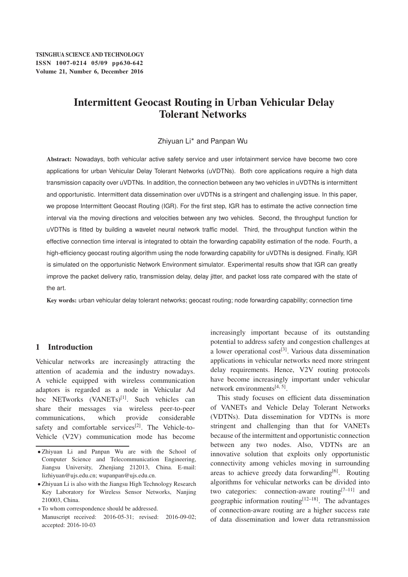## Intermittent Geocast Routing in Urban Vehicular Delay Tolerant Networks

#### Zhiyuan Li\* and Panpan Wu

Abstract: Nowadays, both vehicular active safety service and user infotainment service have become two core applications for urban Vehicular Delay Tolerant Networks (uVDTNs). Both core applications require a high data transmission capacity over uVDTNs. In addition, the connection between any two vehicles in uVDTNs is intermittent and opportunistic. Intermittent data dissemination over uVDTNs is a stringent and challenging issue. In this paper, we propose Intermittent Geocast Routing (IGR). For the first step, IGR has to estimate the active connection time interval via the moving directions and velocities between any two vehicles. Second, the throughput function for uVDTNs is fitted by building a wavelet neural network traffic model. Third, the throughput function within the effective connection time interval is integrated to obtain the forwarding capability estimation of the node. Fourth, a high-efficiency geocast routing algorithm using the node forwarding capability for uVDTNs is designed. Finally, IGR is simulated on the opportunistic Network Environment simulator. Experimental results show that IGR can greatly improve the packet delivery ratio, transmission delay, delay jitter, and packet loss rate compared with the state of the art.

Key words: urban vehicular delay tolerant networks; geocast routing; node forwarding capability; connection time

### 1 Introduction

Vehicular networks are increasingly attracting the attention of academia and the industry nowadays. A vehicle equipped with wireless communication adaptors is regarded as a node in Vehicular Ad hoc NETworks (VANETs)<sup>[1]</sup>. Such vehicles can share their messages via wireless peer-to-peer communications, which provide considerable safety and comfortable services<sup>[2]</sup>. The Vehicle-to-Vehicle (V2V) communication mode has become

increasingly important because of its outstanding potential to address safety and congestion challenges at a lower operational  $cost^{[3]}$ . Various data dissemination applications in vehicular networks need more stringent delay requirements. Hence, V2V routing protocols have become increasingly important under vehicular network environments $[4, 5]$ .

This study focuses on efficient data dissemination of VANETs and Vehicle Delay Tolerant Networks (VDTNs). Data dissemination for VDTNs is more stringent and challenging than that for VANETs because of the intermittent and opportunistic connection between any two nodes. Also, VDTNs are an innovative solution that exploits only opportunistic connectivity among vehicles moving in surrounding areas to achieve greedy data forwarding $[6]$ . Routing algorithms for vehicular networks can be divided into two categories: connection-aware routing<sup>[7-11]</sup> and geographic information routing<sup>[12–18]</sup>. The advantages of connection-aware routing are a higher success rate of data dissemination and lower data retransmission

<sup>-</sup> Zhiyuan Li and Panpan Wu are with the School of Computer Science and Telecommunication Engineering, Jiangsu University, Zhenjiang 212013, China. E-mail: lizhiyuan@ujs.edu.cn; wupanpan@ujs.edu.cn.

Zhiyuan Li is also with the Jiangsu High Technology Research Key Laboratory for Wireless Sensor Networks, Nanjing 210003, China.

To whom correspondence should be addressed. Manuscript received: 2016-05-31; revised: 2016-09-02; accepted: 2016-10-03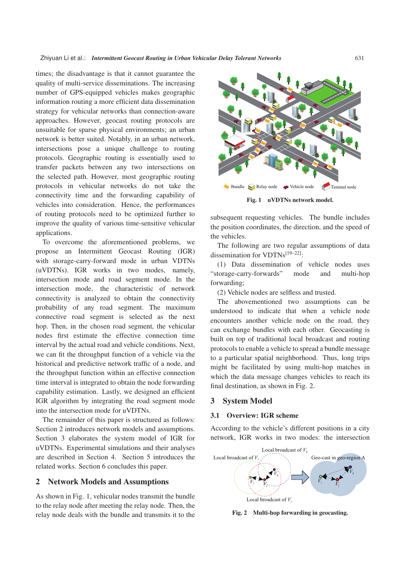times; the disadvantage is that it cannot guarantee the quality of multi-service disseminations. The increasing number of GPS-equipped vehicles makes geographic information routing a more efficient data dissemination strategy for vehicular networks than connection-aware approaches. However, geocast routing protocols are unsuitable for sparse physical environments; an urban network is better suited. Notably, in an urban network, intersections pose a unique challenge to routing protocols. Geographic routing is essentially used to transfer packets between any two intersections on the selected path. However, most geographic routing protocols in vehicular networks do not take the connectivity time and the forwarding capability of vehicles into consideration. Hence, the performances of routing protocols need to be optimized further to improve the quality of various time-sensitive vehicular applications.

To overcome the aforementioned problems, we propose an Intermittent Geocast Routing (IGR) with storage-carry-forward mode in urban VDTNs (uVDTNs). IGR works in two modes, namely, intersection mode and road segment mode. In the intersection mode, the characteristic of network connectivity is analyzed to obtain the connectivity probability of any road segment. The maximum connective road segment is selected as the next hop. Then, in the chosen road segment, the vehicular nodes first estimate the effective connection time interval by the actual road and vehicle conditions. Next, we can fit the throughput function of a vehicle via the historical and predictive network traffic of a node, and the throughput function within an effective connection time interval is integrated to obtain the node forwarding capability estimation. Lastly, we designed an efficient IGR algorithm by integrating the road segment mode into the intersection mode for uVDTNs.

The remainder of this paper is structured as follows: Section 2 introduces network models and assumptions. Section 3 elaborates the system model of IGR for uVDTNs. Experimental simulations and their analyses are described in Section 4. Section 5 introduces the related works. Section 6 concludes this paper.

#### 2 Network Models and Assumptions

As shown in Fig. 1, vehicular nodes transmit the bundle to the relay node after meeting the relay node. Then, the relay node deals with the bundle and transmits it to the



Fig. 1 uVDTNs network model.

subsequent requesting vehicles. The bundle includes the position coordinates, the direction, and the speed of the vehicles.

The following are two regular assumptions of data dissemination for VDTNs[19–22]:

(1) Data dissemination of vehicle nodes uses "storage-carry-forwards" mode and multi-hop forwarding;

(2) Vehicle nodes are selfless and trusted.

The abovementioned two assumptions can be understood to indicate that when a vehicle node encounters another vehicle node on the road, they can exchange bundles with each other. Geocasting is built on top of traditional local broadcast and routing protocols to enable a vehicle to spread a bundle message to a particular spatial neighborhood. Thus, long trips might be facilitated by using multi-hop matches in which the data message changes vehicles to reach its final destination, as shown in Fig. 2.

#### 3 System Model

#### 3.1 Overview: IGR scheme

According to the vehicle's different positions in a city network, IGR works in two modes: the intersection



Fig. 2 Multi-hop forwarding in geocasting.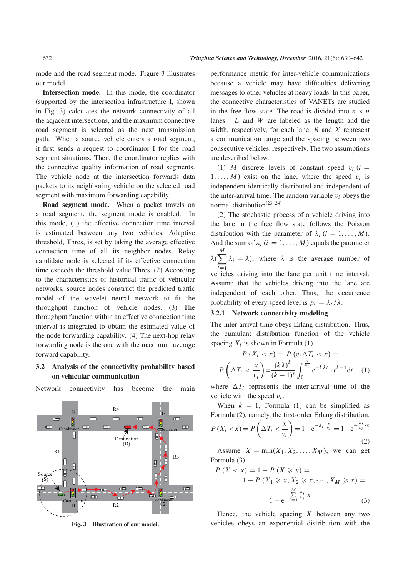mode and the road segment mode. Figure 3 illustrates our model.

Intersection mode. In this mode, the coordinator (supported by the intersection infrastructure I, shown in Fig. 3) calculates the network connectivity of all the adjacent intersections, and the maximum connective road segment is selected as the next transmission path. When a source vehicle enters a road segment, it first sends a request to coordinator I for the road segment situations. Then, the coordinator replies with the connective quality information of road segments. The vehicle node at the intersection forwards data packets to its neighboring vehicle on the selected road segment with maximum forwarding capability.

Road segment mode. When a packet travels on a road segment, the segment mode is enabled. In this mode, (1) the effective connection time interval is estimated between any two vehicles. Adaptive threshold, Thres, is set by taking the average effective connection time of all its neighbor nodes. Relay candidate node is selected if its effective connection time exceeds the threshold value Thres. (2) According to the characteristics of historical traffic of vehicular networks, source nodes construct the predicted traffic model of the wavelet neural network to fit the throughput function of vehicle nodes. (3) The throughput function within an effective connection time interval is integrated to obtain the estimated value of the node forwarding capability. (4) The next-hop relay forwarding node is the one with the maximum average forward capability.

#### 3.2 Analysis of the connectivity probability based on vehicular communication



Network connectivity has become the main

Fig. 3 Illustration of our model.

performance metric for inter-vehicle communications because a vehicle may have difficulties delivering messages to other vehicles at heavy loads. In this paper, the connective characteristics of VANETs are studied in the free-flow state. The road is divided into  $n \times n$ lanes.  $L$  and  $W$  are labeled as the length and the width, respectively, for each lane.  $R$  and  $X$  represent a communication range and the spacing between two consecutive vehicles, respectively. The two assumptions are described below.

(1) M discrete levels of constant speed  $v_i$  (i =  $1, \ldots, M$  exist on the lane, where the speed  $v_i$  is independent identically distributed and independent of the inter-arrival time. The random variable  $v_i$  obeys the normal distribution<sup>[23, 24]</sup>.

(2) The stochastic process of a vehicle driving into the lane in the free flow state follows the Poisson distribution with the parameter of  $\lambda_i$   $(i = 1, ..., M)$ . And the sum of  $\lambda_i$  ( $i = 1, ..., M$ ) equals the parameter  $M$  $\lambda(\sum)$ M  $i=1$  $\lambda_i = \lambda$ ), where  $\lambda$  is the average number of

vehicles driving into the lane per unit time interval. Assume that the vehicles driving into the lane are independent of each other. Thus, the occurrence probability of every speed level is  $p_i = \lambda_i / \lambda$ .

#### 3.2.1 Network connectivity modeling

The inter arrival time obeys Erlang distribution. Thus, the cumulant distribution function of the vehicle spacing  $X_i$  is shown in Formula (1).

$$
P(X_i < x) = P(v_i \Delta T_i < x) =
$$
\n
$$
P\left(\Delta T_i < \frac{x}{v_i}\right) = \frac{(k\lambda)^k}{(k-1)!} \int_0^{\frac{x}{v_i}} e^{-k\lambda t} \cdot t^{k-1} dt \quad (1)
$$

where  $\Delta T_i$  represents the inter-arrival time of the vehicle with the speed  $v_i$ .

When  $k = 1$ , Formula (1) can be simplified as Formula (2), namely, the first-order Erlang distribution.  $P(X_i < x) = P\left(\Delta T_i < \frac{x}{v_i}\right)$  $v_i$  $= 1 - e^{-\lambda_i \cdot \frac{x}{v_i}} = 1 - e^{-\frac{\lambda_i}{v_i} \cdot x}$ (2)

Assume  $X = min(X_1, X_2, \ldots, X_M)$ , we can get Formula (3).

$$
P(X < x) = 1 - P(X \ge x) =
$$
  
1 - P(X<sub>1</sub> \ge x, X<sub>2</sub> \ge x,..., X<sub>M</sub> \ge x) =  
1 - e<sup>\frac{M}{i=1} \frac{\lambda\_i}{v\_i} \cdot x (3)</sup>

Hence, the vehicle spacing  $X$  between any two vehicles obeys an exponential distribution with the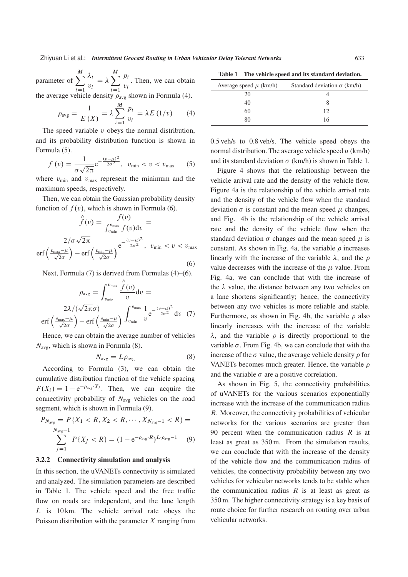parameter of  $\sum$ M  $i=1$  $\lambda_i$  $\frac{\partial u_i}{\partial i} = \lambda$  $\lambda$   $\sum$ M  $i=1$ pi  $\frac{P_i}{v_i}$ . Then, we can obtain

the average vehicle density  $\rho_{avg}$  shown in Formula (4).

$$
\rho_{\text{avg}} = \frac{1}{E(X)} = \lambda \sum_{i=1}^{M} \frac{p_i}{v_i} = \lambda E(1/v) \qquad (4)
$$

The speed variable  $v$  obeys the normal distribution, and its probability distribution function is shown in Formula (5).

$$
f(v) = \frac{1}{\sigma\sqrt{2\pi}}e^{-\frac{(v-\mu)^2}{2\sigma^2}}, \ \ v_{\min} < v < v_{\max} \tag{5}
$$

where  $v_{\text{min}}$  and  $v_{\text{max}}$  represent the minimum and the maximum speeds, respectively.

Then, we can obtain the Gaussian probability density function of  $f(v)$ , which is shown in Formula (6).

$$
\hat{f}(v) = \frac{f(v)}{\int_{v_{\min}}^{v_{\max}} f(v) dv} = \frac{2/\sigma \sqrt{2\pi}}{\text{erf}\left(\frac{v_{\max} - \mu}{\sqrt{2}\sigma}\right) - \text{erf}\left(\frac{v_{\min} - \mu}{\sqrt{2}\sigma}\right)} e^{-\frac{(v - \mu)^2}{2\sigma^2}}, \quad v_{\min} < v < v_{\max} \tag{6}
$$

Next, Formula (7) is derived from Formulas (4)–(6).

$$
\rho_{\text{avg}} = \int_{v_{\text{min}}}^{v_{\text{max}}} \frac{\hat{f}(v)}{v} \, \mathrm{d}v =
$$

$$
\frac{2\lambda/(\sqrt{2\pi}\sigma)}{\text{erf}\left(\frac{v_{\text{max}} - \mu}{\sqrt{2}\sigma}\right) - \text{erf}\left(\frac{v_{\text{min}} - \mu}{\sqrt{2}\sigma}\right)} \int_{v_{\text{min}}}^{v_{\text{max}}} \frac{1}{v} \mathrm{e}^{-\frac{(v - \mu)^2}{2\sigma^2}} \, \mathrm{d}v \tag{7}
$$

Hence, we can obtain the average number of vehicles  $N_{\text{avg}}$ , which is shown in Formula (8).

$$
N_{\text{avg}} = L\rho_{\text{avg}} \tag{8}
$$

According to Formula (3), we can obtain the cumulative distribution function of the vehicle spacing  $F(X_i) = 1 - e^{-\rho_{avg} \cdot X_i}$ . Then, we can acquire the connectivity probability of  $N_{\text{avg}}$  vehicles on the road segment, which is shown in Formula (9).

$$
P_{N_{\text{avg}}} = P\{X_1 < R, X_2 < R, \cdots, X_{N_{\text{avg}}-1} < R\} = \sum_{j=1}^{N_{\text{avg}}-1} P\{X_j < R\} = (1 - e^{-\rho_{\text{avg}} \cdot R})^{L \cdot \rho_{\text{avg}} - 1} \tag{9}
$$

#### 3.2.2 Connectivity simulation and analysis

In this section, the uVANETs connectivity is simulated and analyzed. The simulation parameters are described in Table 1. The vehicle speed and the free traffic flow on roads are independent, and the lane length L is 10 km. The vehicle arrival rate obeys the Poisson distribution with the parameter  $X$  ranging from

Table 1 The vehicle speed and its standard deviation.

| Average speed $\mu$ (km/h) | Standard deviation $\sigma$ (km/h) |
|----------------------------|------------------------------------|
| 20                         |                                    |
| 40                         |                                    |
| 60                         | 12                                 |
| 80                         | 16                                 |
|                            |                                    |

0.5 veh/s to 0.8 veh/s. The vehicle speed obeys the normal distribution. The average vehicle speed  $u$  (km/h) and its standard deviation  $\sigma$  (km/h) is shown in Table 1.

Figure 4 shows that the relationship between the vehicle arrival rate and the density of the vehicle flow. Figure 4a is the relationship of the vehicle arrival rate and the density of the vehicle flow when the standard deviation  $\sigma$  is constant and the mean speed  $\mu$  changes, and Fig. 4b is the relationship of the vehicle arrival rate and the density of the vehicle flow when the standard deviation  $\sigma$  changes and the mean speed  $\mu$  is constant. As shown in Fig. 4a, the variable  $\rho$  increases linearly with the increase of the variable  $\lambda$ , and the  $\rho$ value decreases with the increase of the  $\mu$  value. From Fig. 4a, we can conclude that with the increase of the  $\lambda$  value, the distance between any two vehicles on a lane shortens significantly; hence, the connectivity between any two vehicles is more reliable and stable. Furthermore, as shown in Fig. 4b, the variable  $\rho$  also linearly increases with the increase of the variable  $\lambda$ , and the variable  $\rho$  is directly proportional to the variable  $\sigma$ . From Fig. 4b, we can conclude that with the increase of the  $\sigma$  value, the average vehicle density  $\rho$  for VANETs becomes much greater. Hence, the variable  $\rho$ and the variable  $\sigma$  are a positive correlation.

As shown in Fig. 5, the connectivity probabilities of uVANETs for the various scenarios exponentially increase with the increase of the communication radius R. Moreover, the connectivity probabilities of vehicular networks for the various scenarios are greater than 90 percent when the communication radius  $R$  is at least as great as 350 m. From the simulation results, we can conclude that with the increase of the density of the vehicle flow and the communication radius of vehicles, the connectivity probability between any two vehicles for vehicular networks tends to be stable when the communication radius  $R$  is at least as great as 350 m. The higher connectivity strategy is a key basis of route choice for further research on routing over urban vehicular networks.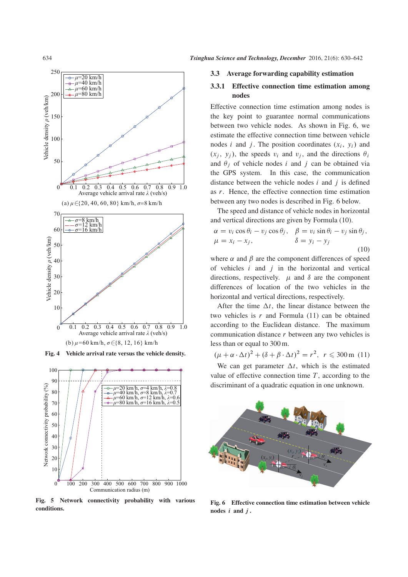

Fig. 4 Vehicle arrival rate versus the vehicle density.



Fig. 5 Network connectivity probability with various conditions.

#### 3.3 Average forwarding capability estimation

#### 3.3.1 Effective connection time estimation among nodes

Effective connection time estimation among nodes is the key point to guarantee normal communications between two vehicle nodes. As shown in Fig. 6, we estimate the effective connection time between vehicle nodes i and j. The position coordinates  $(x_i, y_i)$  and  $(x_i, y_i)$ , the speeds  $v_i$  and  $v_i$ , and the directions  $\theta_i$ and  $\theta_i$  of vehicle nodes i and j can be obtained via the GPS system. In this case, the communication distance between the vehicle nodes  $i$  and  $j$  is defined as r. Hence, the effective connection time estimation between any two nodes is described in Fig. 6 below.

The speed and distance of vehicle nodes in horizontal and vertical directions are given by Formula (10).

$$
\alpha = v_i \cos \theta_i - v_j \cos \theta_j, \quad \beta = v_i \sin \theta_i - v_j \sin \theta_j, \n\mu = x_i - x_j, \qquad \delta = y_i - y_j
$$
\n(10)

where  $\alpha$  and  $\beta$  are the component differences of speed of vehicles  $i$  and  $j$  in the horizontal and vertical directions, respectively.  $\mu$  and  $\delta$  are the component differences of location of the two vehicles in the horizontal and vertical directions, respectively.

After the time  $\Delta t$ , the linear distance between the two vehicles is  $r$  and Formula (11) can be obtained according to the Euclidean distance. The maximum communication distance r between any two vehicles is less than or equal to 300 m.

 $(\mu + \alpha \cdot \Delta t)^2 + (\delta + \beta \cdot \Delta t)^2 = r^2$ ,  $r \leq 300$  m (11)

We can get parameter  $\Delta t$ , which is the estimated value of effective connection time  $T$ , according to the discriminant of a quadratic equation in one unknown.



Fig. 6 Effective connection time estimation between vehicle nodes *i* and *j* .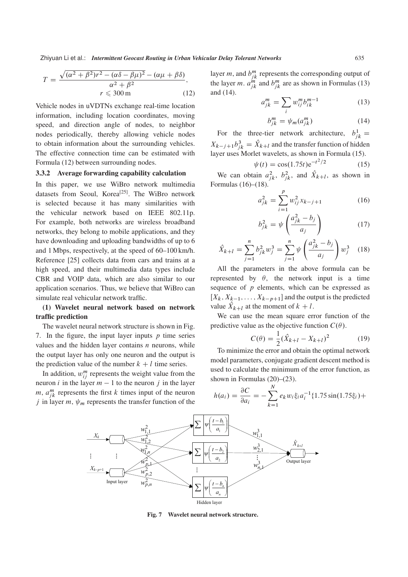Zhiyuan Li et al.: *Intermittent Geocast Routing in Urban Vehicular Delay Tolerant Networks* 635

$$
T = \frac{\sqrt{(\alpha^2 + \beta^2) r^2 - (\alpha \delta - \beta \mu)^2} - (\alpha \mu + \beta \delta)}{\alpha^2 + \beta^2},
$$
  

$$
r \leqslant 300 \,\mathrm{m} \tag{12}
$$

Vehicle nodes in uVDTNs exchange real-time location information, including location coordinates, moving speed, and direction angle of nodes, to neighbor nodes periodically, thereby allowing vehicle nodes to obtain information about the surrounding vehicles. The effective connection time can be estimated with Formula (12) between surrounding nodes.

#### 3.3.2 Average forwarding capability calculation

In this paper, we use WiBro network multimedia datasets from Seoul, Korea<sup>[25]</sup>. The WiBro network is selected because it has many similarities with the vehicular network based on IEEE 802.11p. For example, both networks are wireless broadband networks, they belong to mobile applications, and they have downloading and uploading bandwidths of up to 6 and 1 Mbps, respectively, at the speed of 60–100 km/h. Reference [25] collects data from cars and trains at a high speed, and their multimedia data types include CBR and VOIP data, which are also similar to our application scenarios. Thus, we believe that WiBro can simulate real vehicular network traffic.

#### (1) Wavelet neural network based on network traffic prediction

The wavelet neural network structure is shown in Fig. 7. In the figure, the input layer inputs  $p$  time series values and the hidden layer contains  $n$  neurons, while the output layer has only one neuron and the output is the prediction value of the number  $k + l$  time series.

In addition,  $w_{ij}^m$  represents the weight value from the neuron *i* in the layer  $m - 1$  to the neuron *j* in the layer m,  $a_{jk}^m$  represents the first k times input of the neuron j in layer m,  $\psi_m$  represents the transfer function of the

layer *m*, and  $b_{jk}^m$  represents the corresponding output of the layer *m*.  $a_{jk}^{m}$  and  $b_{jk}^{m}$  are as shown in Formulas (13) and (14).

$$
a_{jk}^m = \sum_i w_{ij}^m b_{ik}^{m-1} \tag{13}
$$

$$
b_{jk}^{m} = \psi_m(a_{jk}^{m})
$$
 (14)

For the three-tier network architecture,  $b_{jk}^1 =$  $X_{k-j+1}b_{jk}^3 = \hat{X}_{k+l}$  and the transfer function of hidden<br>layer uses Morlet wavelets, as shown in Fermula (15) layer uses Morlet wavelets, as shown in Formula (15).

$$
\psi(t) = \cos(1.75t)e^{-t^2/2} \tag{15}
$$

 $\psi(t) = \cos(1.75t) e^{-t^2/2}$  (15)<br>We can obtain  $a_{jk}^2$ ,  $b_{jk}^2$ , and  $\hat{X}_{k+l}$ , as shown in Formulas (16)–(18).

$$
a_{jk}^2 = \sum_{i=1}^p w_{ij}^2 x_{k-j+1}
$$
 (16)

$$
b_{jk}^2 = \psi \left( \frac{a_{jk}^2 - b_j}{a_j} \right) \tag{17}
$$

$$
\hat{X}_{k+l} = \sum_{j=1}^{n} b_{jk}^{2} w_{j}^{3} = \sum_{j=1}^{n} \psi \left( \frac{a_{jk}^{2} - b_{j}}{a_{j}} \right) w_{j}^{3} \quad (18)
$$

All the parameters in the above formula can be represented by  $\theta$ , the network input is a time sequence of  $p$  elements, which can be expressed as  $[X_k, X_{k-1}, \ldots, X_{k-p+1}]$  and the output is the predicted value  $X_{k+l}$  at the moment of  $k+l$ .<br>We can use the moon square or

We can use the mean square error function of the predictive value as the objective function  $C(\theta)$ .

$$
C(\theta) = \frac{1}{2}(\hat{X}_{k+l} - X_{k+l})^2
$$
 (19)

To minimize the error and obtain the optimal network model parameters, conjugate gradient descent method is used to calculate the minimum of the error function, as shown in Formulas (20)–(23).

$$
h(a_i) = \frac{\partial C}{\partial a_i} = -\sum_{k=1}^{N} e_k w_i \xi_i a_i^{-1} \{1.75 \sin(1.75\xi_i) +
$$



Fig. 7 Wavelet neural network structure.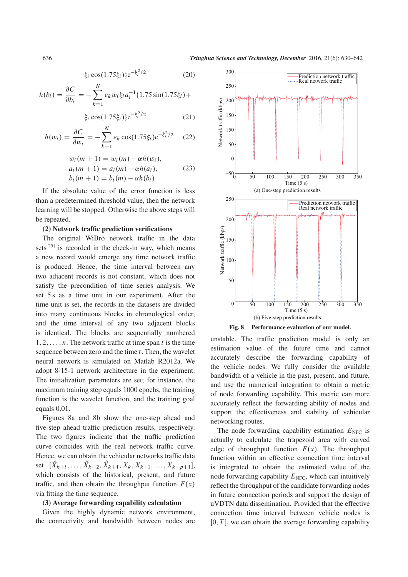$$
\xi_i \cos(1.75\xi_i)\}e^{-\xi_i^2/2}
$$
 (20)

$$
h(b_i) = \frac{\partial C}{\partial b_i} = -\sum_{k=1}^{N} e_k w_i \xi_i a_i^{-1} \{1.75 \sin(1.75\xi_i) +
$$

$$
\xi_i \cos(1.75\xi_i)\} e^{-\xi_i^2/2} \tag{21}
$$

$$
h(w_i) = \frac{\partial C}{\partial w_i} = -\sum_{k=1}^{N} e_k \cos(1.75\xi_i) e^{-\xi_i^2/2}
$$
 (22)

$$
w_i(m + 1) = w_i(m) - \alpha h(w_i),
$$
  
\n
$$
a_i(m + 1) = a_i(m) - \alpha h(a_i),
$$
  
\n
$$
b_i(m + 1) = b_i(m) - \alpha h(b_i)
$$
\n(23)

If the absolute value of the error function is less than a predetermined threshold value, then the network learning will be stopped. Otherwise the above steps will be repeated.

#### (2) Network traffic prediction verifications

The original WiBro network traffic in the data sets<sup>[25]</sup> is recorded in the check-in way, which means a new record would emerge any time network traffic is produced. Hence, the time interval between any two adjacent records is not constant, which does not satisfy the precondition of time series analysis. We set 5 s as a time unit in our experiment. After the time unit is set, the records in the datasets are divided into many continuous blocks in chronological order, and the time interval of any two adjacent blocks is identical. The blocks are sequentially numbered  $1, 2, \ldots, n$ . The network traffic at time span t is the time sequence between zero and the time  $t$ . Then, the wavelet neural network is simulated on Matlab R2012a. We adopt 8-15-1 network architecture in the experiment. The initialization parameters are set; for instance, the maximum training step equals 1000 epochs, the training function is the wavelet function, and the training goal equals 0.01.

Figures 8a and 8b show the one-step ahead and five-step ahead traffic prediction results, respectively. The two figures indicate that the traffic prediction curve coincides with the real network traffic curve. Hence, we can obtain the vehicular networks traffic data set  $[X_{k+l},...,X_{k+2},X_{k+1},X_k,X_{k-1},...,X_{k-p+1}],$ which consists of the historical, present, and future traffic, and then obtain the throughput function  $F(x)$ via fitting the time sequence.

#### (3) Average forwarding capability calculation

Given the highly dynamic network environment, the connectivity and bandwidth between nodes are



Fig. 8 Performance evaluation of our model.

unstable. The traffic prediction model is only an estimation value of the future time and cannot accurately describe the forwarding capability of the vehicle nodes. We fully consider the available bandwidth of a vehicle in the past, present, and future, and use the numerical integration to obtain a metric of node forwarding capability. This metric can more accurately reflect the forwarding ability of nodes and support the effectiveness and stability of vehicular networking routes.

The node forwarding capability estimation  $E<sub>NFC</sub>$  is actually to calculate the trapezoid area with curved edge of throughput function  $F(x)$ . The throughput function within an effective connection time interval is integrated to obtain the estimated value of the node forwarding capability  $E<sub>NFC</sub>$ , which can intuitively reflect the throughput of the candidate forwarding nodes in future connection periods and support the design of uVDTN data dissemination. Provided that the effective connection time interval between vehicle nodes is  $[0, T]$ , we can obtain the average forwarding capability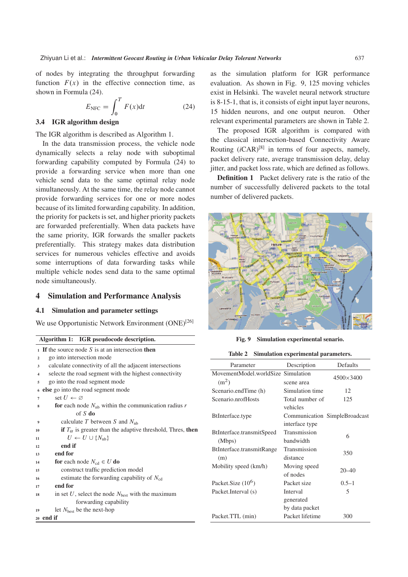of nodes by integrating the throughput forwarding function  $F(x)$  in the effective connection time, as shown in Formula (24).

$$
E_{\rm NFC} = \int_0^T F(x) \mathrm{d}t \tag{24}
$$

#### 3.4 IGR algorithm design

The IGR algorithm is described as Algorithm 1.

In the data transmission process, the vehicle node dynamically selects a relay node with suboptimal forwarding capability computed by Formula (24) to provide a forwarding service when more than one vehicle send data to the same optimal relay node simultaneously. At the same time, the relay node cannot provide forwarding services for one or more nodes because of its limited forwarding capability. In addition, the priority for packets is set, and higher priority packets are forwarded preferentially. When data packets have the same priority, IGR forwards the smaller packets preferentially. This strategy makes data distribution services for numerous vehicles effective and avoids some interruptions of data forwarding tasks while multiple vehicle nodes send data to the same optimal node simultaneously.

#### 4 Simulation and Performance Analysis

#### 4.1 Simulation and parameter settings

We use Opportunistic Network Environment (ONE)<sup>[26]</sup>

| Algorithm 1: IGR pseudocode description. |  |
|------------------------------------------|--|
|                                          |  |

<sup>20</sup> end if

|                | $\sim$ 1 If the source node S is at an intersection then                   |  |  |  |  |
|----------------|----------------------------------------------------------------------------|--|--|--|--|
| $\overline{2}$ | go into intersection mode                                                  |  |  |  |  |
| 3              | calculate connectivity of all the adjacent intersections                   |  |  |  |  |
| $\overline{4}$ | selecte the road segment with the highest connectivity                     |  |  |  |  |
| 5              | go into the road segment mode                                              |  |  |  |  |
| 6              | else go into the road segment mode                                         |  |  |  |  |
| 7              | set $U \leftarrow \varnothing$                                             |  |  |  |  |
| 8              | for each node $N_{nb}$ within the communication radius r                   |  |  |  |  |
|                | of $S$ do                                                                  |  |  |  |  |
| 9              | calculate T between S and $N_{\rm nb}$                                     |  |  |  |  |
| 10             | <b>if</b> $T_{\alpha}$ is greater than the adaptive threshold, Thres, then |  |  |  |  |
| 11             | $U \leftarrow U \cup \{N_{\rm nb}\}\$                                      |  |  |  |  |
| 12             | end if                                                                     |  |  |  |  |
| 13             | end for                                                                    |  |  |  |  |
| 14             | <b>for</b> each node $N_{cd} \in U$ <b>do</b>                              |  |  |  |  |
| 15             | construct traffic prediction model                                         |  |  |  |  |
| 16             | estimate the forwarding capability of $N_{\rm cd}$                         |  |  |  |  |
| 17             | end for                                                                    |  |  |  |  |
| 18             | in set U, select the node $N_{\text{best}}$ with the maximum               |  |  |  |  |
|                | forwarding capability                                                      |  |  |  |  |
| 19             | let $N_{best}$ be the next-hop                                             |  |  |  |  |

as the simulation platform for IGR performance evaluation. As shown in Fig. 9, 125 moving vehicles exist in Helsinki. The wavelet neural network structure is 8-15-1, that is, it consists of eight input layer neurons, 15 hidden neurons, and one output neuron. Other relevant experimental parameters are shown in Table 2.

The proposed IGR algorithm is compared with the classical intersection-based Connectivity Aware Routing  $(iCAR)^{[8]}$  in terms of four aspects, namely, packet delivery rate, average transmission delay, delay jitter, and packet loss rate, which are defined as follows.

Definition 1 Packet delivery rate is the ratio of the number of successfully delivered packets to the total number of delivered packets.



Fig. 9 Simulation experimental senario.

| Table 2 |  | Simulation experimental parameters. |  |
|---------|--|-------------------------------------|--|
|---------|--|-------------------------------------|--|

| Parameter                                               | Description                             | Defaults                      |
|---------------------------------------------------------|-----------------------------------------|-------------------------------|
| MovementModel.worldSize Simulation<br>(m <sup>2</sup> ) | scene area                              | $4500\times3400$              |
| Scenario.endTime (h)                                    | Simulation time                         | 12                            |
| Scenario.nrofHosts                                      | Total number of<br>vehicles             | 125                           |
| BtInterface.type                                        | interface type                          | Communication SimpleBroadcast |
| BtInterface.transmitSpeed<br>(Mbps)                     | Transmission<br>bandwidth               | 6                             |
| BtInterface.transmitRange<br>(m)                        | Transmission<br>distance                | 350                           |
| Mobility speed (km/h)                                   | Moving speed<br>of nodes                | $20 - 40$                     |
| Packet.Size $(10^6)$                                    | Packet size                             | $0.5 - 1$                     |
| Packet.Interval (s)                                     | Interval<br>generated<br>by data packet | 5                             |
| Packet.TTL (min)                                        | Packet lifetime                         | 300                           |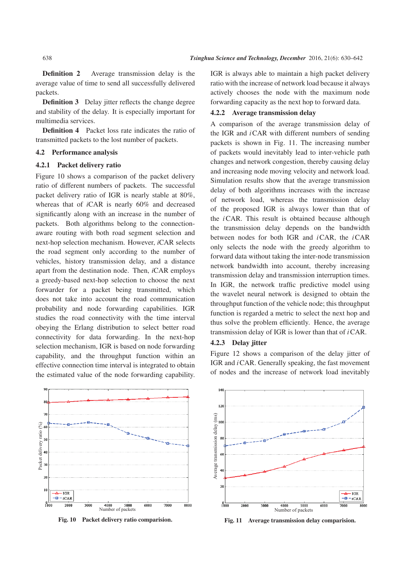Definition 2 Average transmission delay is the average value of time to send all successfully delivered packets.

**Definition 3** Delay jitter reflects the change degree and stability of the delay. It is especially important for multimedia services.

Definition 4 Packet loss rate indicates the ratio of transmitted packets to the lost number of packets.

#### 4.2 Performance analysis

#### 4.2.1 Packet delivery ratio

Figure 10 shows a comparison of the packet delivery ratio of different numbers of packets. The successful packet delivery ratio of IGR is nearly stable at 80%, whereas that of *i*CAR is nearly 60% and decreased significantly along with an increase in the number of packets. Both algorithms belong to the connectionaware routing with both road segment selection and next-hop selection mechanism. However, *i*CAR selects the road segment only according to the number of vehicles, history transmission delay, and a distance apart from the destination node. Then, *i*CAR employs a greedy-based next-hop selection to choose the next forwarder for a packet being transmitted, which does not take into account the road communication probability and node forwarding capabilities. IGR studies the road connectivity with the time interval obeying the Erlang distribution to select better road connectivity for data forwarding. In the next-hop selection mechanism, IGR is based on node forwarding capability, and the throughput function within an effective connection time interval is integrated to obtain the estimated value of the node forwarding capability.



Fig. 10 Packet delivery ratio comparision.

IGR is always able to maintain a high packet delivery ratio with the increase of network load because it always actively chooses the node with the maximum node forwarding capacity as the next hop to forward data.

#### 4.2.2 Average transmission delay

A comparison of the average transmission delay of the IGR and  $i$ CAR with different numbers of sending packets is shown in Fig. 11. The increasing number of packets would inevitably lead to inter-vehicle path changes and network congestion, thereby causing delay and increasing node moving velocity and network load. Simulation results show that the average transmission delay of both algorithms increases with the increase of network load, whereas the transmission delay of the proposed IGR is always lower than that of the iCAR. This result is obtained because although the transmission delay depends on the bandwidth between nodes for both IGR and iCAR, the iCAR only selects the node with the greedy algorithm to forward data without taking the inter-node transmission network bandwidth into account, thereby increasing transmission delay and transmission interruption times. In IGR, the network traffic predictive model using the wavelet neural network is designed to obtain the throughput function of the vehicle node; this throughput function is regarded a metric to select the next hop and thus solve the problem efficiently. Hence, the average transmission delay of IGR is lower than that of  $i$ CAR.

#### 4.2.3 Delay jitter

Figure 12 shows a comparison of the delay jitter of IGR and *i* CAR. Generally speaking, the fast movement of nodes and the increase of network load inevitably



Fig. 11 Average transmission delay comparision.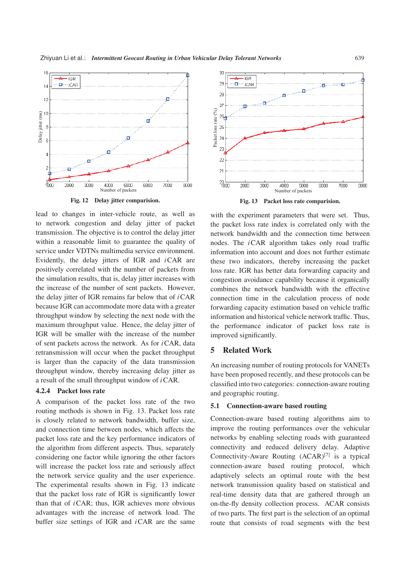

Fig. 12 Delay jitter comparision.

lead to changes in inter-vehicle route, as well as to network congestion and delay jitter of packet transmission. The objective is to control the delay jitter within a reasonable limit to guarantee the quality of service under VDTNs multimedia service environment. Evidently, the delay jitters of IGR and  $iCAR$  are positively correlated with the number of packets from the simulation results, that is, delay jitter increases with the increase of the number of sent packets. However, the delay jitter of IGR remains far below that of  $iCAR$ because IGR can accommodate more data with a greater throughput window by selecting the next node with the maximum throughput value. Hence, the delay jitter of IGR will be smaller with the increase of the number of sent packets across the network. As for  $i$ CAR, data retransmission will occur when the packet throughput is larger than the capacity of the data transmission throughput window, thereby increasing delay jitter as a result of the small throughput window of  $i$  CAR.

#### 4.2.4 Packet loss rate

A comparison of the packet loss rate of the two routing methods is shown in Fig. 13. Packet loss rate is closely related to network bandwidth, buffer size, and connection time between nodes, which affects the packet loss rate and the key performance indicators of the algorithm from different aspects. Thus, separately considering one factor while ignoring the other factors will increase the packet loss rate and seriously affect the network service quality and the user experience. The experimental results shown in Fig. 13 indicate that the packet loss rate of IGR is significantly lower than that of  $i$ CAR; thus, IGR achieves more obvious advantages with the increase of network load. The buffer size settings of IGR and  $i$ CAR are the same



with the experiment parameters that were set. Thus, the packet loss rate index is correlated only with the network bandwidth and the connection time between nodes. The iCAR algorithm takes only road traffic information into account and does not further estimate these two indicators, thereby increasing the packet loss rate. IGR has better data forwarding capacity and congestion avoidance capability because it organically combines the network bandwidth with the effective connection time in the calculation process of node forwarding capacity estimation based on vehicle traffic information and historical vehicle network traffic. Thus, the performance indicator of packet loss rate is improved significantly.

#### 5 Related Work

An increasing number of routing protocols for VANETs have been proposed recently, and these protocols can be classified into two categories: connection-aware routing and geographic routing.

#### 5.1 Connection-aware based routing

Connection-aware based routing algorithms aim to improve the routing performances over the vehicular networks by enabling selecting roads with guaranteed connectivity and reduced delivery delay. Adaptive Connectivity-Aware Routing  $(ACAR)^{[7]}$  is a typical connection-aware based routing protocol, which adaptively selects an optimal route with the best network transmission quality based on statistical and real-time density data that are gathered through an on-the-fly density collection process. ACAR consists of two parts. The first part is the selection of an optimal route that consists of road segments with the best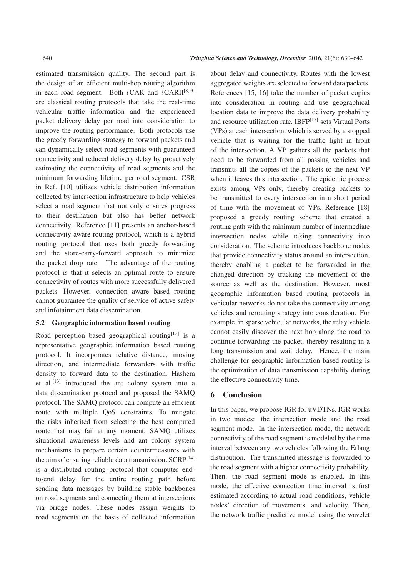estimated transmission quality. The second part is the design of an efficient multi-hop routing algorithm in each road segment. Both  $iCAR$  and  $iCARII^{[8, 9]}$ are classical routing protocols that take the real-time vehicular traffic information and the experienced packet delivery delay per road into consideration to improve the routing performance. Both protocols use the greedy forwarding strategy to forward packets and can dynamically select road segments with guaranteed connectivity and reduced delivery delay by proactively estimating the connectivity of road segments and the minimum forwarding lifetime per road segment. CSR in Ref. [10] utilizes vehicle distribution information collected by intersection infrastructure to help vehicles select a road segment that not only ensures progress to their destination but also has better network connectivity. Reference [11] presents an anchor-based connectivity-aware routing protocol, which is a hybrid routing protocol that uses both greedy forwarding and the store-carry-forward approach to minimize the packet drop rate. The advantage of the routing protocol is that it selects an optimal route to ensure connectivity of routes with more successfully delivered packets. However, connection aware based routing cannot guarantee the quality of service of active safety and infotainment data dissemination.

#### 5.2 Geographic information based routing

Road perception based geographical routing $[12]$  is a representative geographic information based routing protocol. It incorporates relative distance, moving direction, and intermediate forwarders with traffic density to forward data to the destination. Hashem et al.<sup>[13]</sup> introduced the ant colony system into a data dissemination protocol and proposed the SAMQ protocol. The SAMQ protocol can compute an efficient route with multiple QoS constraints. To mitigate the risks inherited from selecting the best computed route that may fail at any moment, SAMQ utilizes situational awareness levels and ant colony system mechanisms to prepare certain countermeasures with the aim of ensuring reliable data transmission.  $SCRP^{[14]}$ is a distributed routing protocol that computes endto-end delay for the entire routing path before sending data messages by building stable backbones on road segments and connecting them at intersections via bridge nodes. These nodes assign weights to road segments on the basis of collected information

about delay and connectivity. Routes with the lowest aggregated weights are selected to forward data packets. References [15, 16] take the number of packet copies into consideration in routing and use geographical location data to improve the data delivery probability and resource utilization rate. IBFP<sup>[17]</sup> sets Virtual Ports (VPs) at each intersection, which is served by a stopped vehicle that is waiting for the traffic light in front of the intersection. A VP gathers all the packets that need to be forwarded from all passing vehicles and transmits all the copies of the packets to the next VP when it leaves this intersection. The epidemic process exists among VPs only, thereby creating packets to be transmitted to every intersection in a short period of time with the movement of VPs. Reference [18] proposed a greedy routing scheme that created a routing path with the minimum number of intermediate intersection nodes while taking connectivity into consideration. The scheme introduces backbone nodes that provide connectivity status around an intersection, thereby enabling a packet to be forwarded in the changed direction by tracking the movement of the source as well as the destination. However, most geographic information based routing protocols in vehicular networks do not take the connectivity among vehicles and rerouting strategy into consideration. For example, in sparse vehicular networks, the relay vehicle cannot easily discover the next hop along the road to continue forwarding the packet, thereby resulting in a long transmission and wait delay. Hence, the main challenge for geographic information based routing is the optimization of data transmission capability during the effective connectivity time.

#### 6 Conclusion

In this paper, we propose IGR for uVDTNs. IGR works in two modes: the intersection mode and the road segment mode. In the intersection mode, the network connectivity of the road segment is modeled by the time interval between any two vehicles following the Erlang distribution. The transmitted message is forwarded to the road segment with a higher connectivity probability. Then, the road segment mode is enabled. In this mode, the effective connection time interval is first estimated according to actual road conditions, vehicle nodes' direction of movements, and velocity. Then, the network traffic predictive model using the wavelet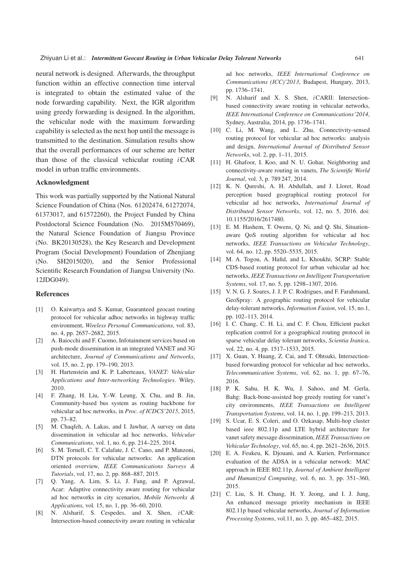neural network is designed. Afterwards, the throughput function within an effective connection time interval is integrated to obtain the estimated value of the node forwarding capability. Next, the IGR algorithm using greedy forwarding is designed. In the algorithm, the vehicular node with the maximum forwarding capability is selected as the next hop until the message is transmitted to the destination. Simulation results show that the overall performances of our scheme are better than those of the classical vehicular routing  $iCAR$ model in urban traffic environments.

#### Acknowledgment

This work was partially supported by the National Natural Science Foundation of China (Nos. 61202474, 61272074, 61373017, and 61572260), the Project Funded by China Postdoctoral Science Foundation (No. 2015M570469), the Natural Science Foundation of Jiangsu Province (No. BK20130528), the Key Research and Development Program (Social Development) Foundation of Zhenjiang (No. SH2015020), and the Senior Professional Scientific Research Foundation of Jiangsu University (No. 12JDG049).

#### References

- [1] O. Kaiwartya and S. Kumar, Guaranteed geocast routing protocol for vehicular adhoc networks in highway traffic environment, *Wireless Personal Communications*, vol. 83, no. 4, pp. 2657–2682, 2015.
- [2] A. Baiocchi and F. Cuomo, Infotainment services based on push-mode dissemination in an integrated VANET and 3G architecture, *Journal of Communications and Networks*, vol. 15, no. 2, pp. 179–190, 2013.
- [3] H. Hartenstein and K. P. Laberteaux, *VANET: Vehicular Applications and Inter-networking Technologies*. Wiley, 2010.
- [4] F. Zhang, H. Liu, Y.-W. Leung, X. Chu, and B. Jin, Community-based bus system as routing backbone for vehicular ad hoc networks, in *Proc. of ICDCS'2015*, 2015, pp. 73–82.
- [5] M. Chaqfeh, A. Lakas, and I. Jawhar, A survey on data dissemination in vehicular ad hoc networks, *Vehicular Communications*, vol. 1, no. 6, pp. 214–225, 2014.
- [6] S. M. Tornell, C. T. Calafate, J. C. Cano, and P. Manzoni, DTN protocols for vehicular networks: An application oriented overview, *IEEE Communications Surveys & Tutorials*, vol. 17, no. 2, pp. 868–887, 2015.
- [7] Q. Yang, A. Lim, S. Li, J. Fang, and P. Agrawal, Acar: Adaptive connectivity aware routing for vehicular ad hoc networks in city scenarios, *Mobile Networks & Applications*, vol. 15, no. 1, pp. 36–60, 2010.
- [8] N. Alsharif, S. Cespedes, and X. Shen, iCAR: Intersection-based connectivity aware routing in vehicular

ad hoc networks, *IEEE International Conference on Communications (ICC)'2013*, Budapest, Hungary, 2013, pp. 1736–1741.

- [9] N. Alsharif and X. S. Shen, iCARII: Intersectionbased connectivity aware routing in vehicular networks, *IEEE International Conference on Communications'2014*, Sydney, Australia, 2014, pp. 1736–1741.
- [10] C. Li, M. Wang, and L. Zhu, Connectivity-sensed routing protocol for vehicular ad hoc networks: analysis and design, *International Journal of Distributed Sensor Networks*, vol. 2, pp. 1–11, 2015.
- [11] H. Ghafoor, I. Koo, and N. U. Gohar, Neighboring and connectivity-aware routing in vanets, *The Scientific World Journal*, vol. 3, p. 789 247, 2014.
- [12] K. N. Qureshi, A. H. Abdullah, and J. Lloret, Road perception based geographical routing protocol for vehicular ad hoc networks, *International Journal of Distributed Sensor Networks*, vol. 12, no. 5, 2016. doi: 10.1155/2016/2617480.
- [13] E. M. Hashem, T. Owens, Q. Ni, and Q. Shi, Situationaware QoS routing algorithm for vehicular ad hoc networks, *IEEE Transactions on Vehicular Technology*, vol. 64, no. 12, pp. 5520–5535, 2015.
- [14] M. A. Togou, A. Hafid, and L. Khoukhi, SCRP: Stable CDS-based routing protocol for urban vehicular ad hoc networks, *IEEE Transactions on Intelligent Transportation Systems*, vol. 17, no. 5, pp. 1298–1307, 2016.
- [15] V. N. G. J. Soares, J. J. P. C. Rodrigues, and F. Farahmand, GeoSpray: A geographic routing protocol for vehicular delay-tolerant networks, *Information Fusion*, vol. 15, no.1, pp. 102–113, 2014.
- [16] I. C. Chang, C. H. Li, and C. F. Chou, Efficient packet replication control for a geographical routing protocol in sparse vehicular delay tolerant networks, *Scientia Iranica*, vol. 22, no. 4, pp. 1517–1533, 2015.
- [17] X. Guan, Y. Huang, Z. Cai, and T. Ohtsuki, Intersectionbased forwarding protocol for vehicular ad hoc networks, *Telecommunication Systems*, vol. 62, no. 1, pp. 67–76, 2016.
- [18] P. K. Sahu, H. K. Wu, J. Sahoo, and M. Gerla, Bahg: Back-bone-assisted hop greedy routing for vanet's city environments, *IEEE Transactions on Intelligent Transportation Systems*, vol. 14, no. 1, pp. 199–213, 2013.
- [19] S. Ucar, E. S. Coleri, and O. Ozkasap, Multi-hop cluster based ieee 802.11p and LTE hybrid architecture for vanet safety message dissemination, *IEEE Transactions on Vehicular Technology*, vol. 65, no. 4, pp. 2621–2636, 2015.
- [20] E. A. Feukeu, K. Djouani, and A. Kurien, Performance evaluation of the ADSA in a vehicular network: MAC approach in IEEE 802.11p, *Journal of Ambient Intelligent and Humanized Computing*, vol. 6, no. 3, pp. 351–360, 2015.
- [21] C. Liu, S. H. Chung, H. Y. Jeong, and I. J. Jung, An enhanced message priority mechanism in IEEE 802.11p based vehicular networks, *Journal of Information Processing Systems*, vol.11, no. 3, pp. 465–482, 2015.